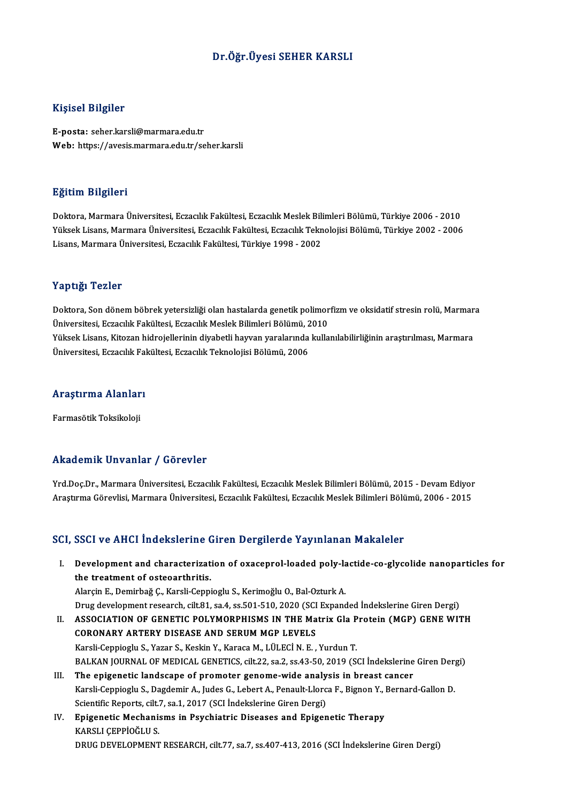### Dr.Öğr.Üyesi SEHER KARSLI

### Kişisel Bilgiler

E-posta: seher.karsli@marmara.edu.tr Web: https://avesis.marmara.edu.tr/seher.karsli

### Eğitim Bilgileri

**Eğitim Bilgileri**<br>Doktora, Marmara Üniversitesi, Eczacılık Fakültesi, Eczacılık Meslek Bilimleri Bölümü, Türkiye 2006 - 2010<br>Yüksek Lisans, Marmara Üniversitesi, Eczacılık Fakültesi, Eczacılık Taknalejisi Bölümü, Türkiye SSRAM SAŞASA<br>Doktora, Marmara Üniversitesi, Eczacılık Fakültesi, Eczacılık Meslek Bilimleri Bölümü, Türkiye 2006 - 2010<br>Yüksek Lisans, Marmara Üniversitesi, Eczacılık Fakültesi, Eczacılık Teknolojisi Bölümü, Türkiye 2002 -Yüksek Lisans, Marmara Üniversitesi, Eczacılık Fakültesi, Eczacılık Teknolojisi Bölümü, Türkiye 2002 - 2006<br>Lisans, Marmara Üniversitesi, Eczacılık Fakültesi, Türkiye 1998 - 2002

### Yaptığı Tezler

Doktora, Son dönem böbrek yetersizliği olan hastalarda genetik polimorfizm ve oksidatif stresin rolü, Marmara Üniversitesi, Eczacılık Fakültesi, Eczacılık Meslek Bilimleri Bölümü, 2010 Doktora, Son dönem böbrek yetersizliği olan hastalarda genetik polimorfizm ve oksidatif stresin rolü, Marmar<br>Üniversitesi, Eczacılık Fakültesi, Eczacılık Meslek Bilimleri Bölümü, 2010<br>Yüksek Lisans, Kitozan hidrojellerinin Üniversitesi, Eczacılık Fakültesi, Eczacılık Meslek Bilimleri Bölümü, 2<br>Yüksek Lisans, Kitozan hidrojellerinin diyabetli hayvan yaralarında<br>Üniversitesi, Eczacılık Fakültesi, Eczacılık Teknolojisi Bölümü, 2006

# <sub>universitesi, eczacilik ral<br>Araştırma Alanları</sub> <mark>Araştırma Alanlar</mark><br>Farmasötik Toksikoloji

# Farmasötik Toksikoloji<br>Akademik Unvanlar / Görevler

Akademik Unvanlar / Görevler<br>Yrd.Doç.Dr., Marmara Üniversitesi, Eczacılık Fakültesi, Eczacılık Meslek Bilimleri Bölümü, 2015 - Devam Ediyor<br>Arastırma Görevlisi, Marmara Üniversitesi, Eszacılık Fakültesi, Eszacılık Meslek B AraştırmaGörevlisi,MarmaraÜniversitesi,EczacılıkFakültesi,EczacılıkMeslekBilimleriBölümü,2006 -2015 Araştırma Görevlisi, Marmara Üniversitesi, Eczacılık Fakültesi, Eczacılık Meslek Bilimleri Bölümü, 2006 - 2015<br>SCI, SSCI ve AHCI İndekslerine Giren Dergilerde Yayınlanan Makaleler

I. Development and characterization of oxaceprol-loaded poly-lactide-co-glycolide nanoparticles for Development and characterizat<br>the treatment of osteoarthritis.<br>Alarcin E. Demirhağ C. Kareli Cenni Development and characterization of oxaceprol-loaded poly-la<br>the treatment of osteoarthritis.<br>Alarçin E., Demirbağ Ç., Karsli-Ceppioglu S., Kerimoğlu O., Bal-Ozturk A.<br>Drug development research silt 81, sa 4, se 501, 510,

the treatment of osteoarthritis.<br>Alarçin E., Demirbağ Ç., Karsli-Ceppioglu S., Kerimoğlu O., Bal-Ozturk A.<br>Drug development research, cilt.81, sa.4, ss.501-510, 2020 (SCI Expanded İndekslerine Giren Dergi) Alarçin E., Demirbağ Ç., Karsli-Ceppioglu S., Kerimoğlu O., Bal-Ozturk A.<br>Drug development research, cilt.81, sa.4, ss.501-510, 2020 (SCI Expanded İndekslerine Giren Dergi)<br>II. ASSOCIATION OF GENETIC POLYMORPHISMS IN THE M

- Drug development research, cilt.81, sa.4, ss.501-510, 2020 (SCI<br>ASSOCIATION OF GENETIC POLYMORPHISMS IN THE Ma<br>CORONARY ARTERY DISEASE AND SERUM MGP LEVELS<br>Karoli Conniagly S. Vagar S. Kaskin V. Karoga M. Lüt Eçi N. E ASSOCIATION OF GENETIC POLYMORPHISMS IN THE Matrix Gla P<br>CORONARY ARTERY DISEASE AND SERUM MGP LEVELS<br>Karsli-Ceppioglu S., Yazar S., Keskin Y., Karaca M., LÜLECİN. E. , Yurdun T.<br>BALKAN JOURNAL OF MEDICAL GENETICS silt 22. CORONARY ARTERY DISEASE AND SERUM MGP LEVELS<br>Karsli-Ceppioglu S., Yazar S., Keskin Y., Karaca M., LÜLECİ N. E. , Yurdun T.<br>BALKAN JOURNAL OF MEDICAL GENETICS, cilt.22, sa.2, ss.43-50, 2019 (SCI İndekslerine Giren Dergi)<br>Th Karsli-Ceppioglu S., Yazar S., Keskin Y., Karaca M., LÜLECİ N. E. , Yurdun T.<br>BALKAN JOURNAL OF MEDICAL GENETICS, cilt.22, sa.2, ss.43-50, 2019 (SCI İndekslerine<br>III. The epigenetic landscape of promoter genome-wide analys
- BALKAN JOURNAL OF MEDICAL GENETICS, cilt.22, sa.2, ss.43-50, 2019 (SCI İndekslerine Giren Der;<br>The epigenetic landscape of promoter genome-wide analysis in breast cancer<br>Karsli-Ceppioglu S., Dagdemir A., Judes G., Lebert A The epigenetic landscape of promoter genome-wide analy<br>Karsli-Ceppioglu S., Dagdemir A., Judes G., Lebert A., Penault-Llorc<br>Scientific Reports, cilt.7, sa.1, 2017 (SCI İndekslerine Giren Dergi)<br>Enisenetia Meshanisma in Bay Karsli-Ceppioglu S., Dagdemir A., Judes G., Lebert A., Penault-Llorca F., Bignon Y., Bernard-Gallon D.<br>Scientific Reports, cilt.7, sa.1, 2017 (SCI Indekslerine Giren Dergi)<br>IV. Epigenetic Mechanisms in Psychiatric Diseases Scientific Reports, cilt.7, sa.1, 2017 (SCI Indekslerine Giren Dergi)
- DRUG DEVELOPMENT RESEARCH, cilt.77, sa.7, ss.407-413, 2016 (SCI İndekslerine Giren Dergi)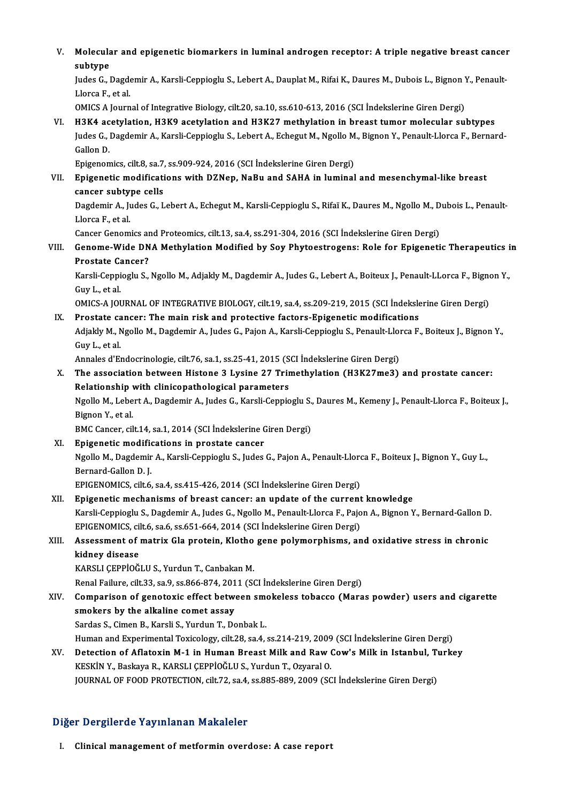V. Molecular and epigenetic biomarkers in luminal androgen receptor: A triple negative breast cancer Molecula<br>subtype<br>Indee Col Molecular and epigenetic biomarkers in luminal androgen receptor: A triple negative breast cance:<br>subtype<br>Judes G., Dagdemir A., Karsli-Ceppioglu S., Lebert A., Dauplat M., Rifai K., Daures M., Dubois L., Bignon Y., Penaul

subtype<br>Judes G., Dagdemir A., Karsli-Ceppioglu S., Lebert A., Dauplat M., Rifai K., Daures M., Dubois L., Bignon Y., Penault-<br>Llorca F.. et al.

OMICS A Journal of Integrative Biology, cilt.20, sa.10, ss.610-613, 2016 (SCI İndekslerine Giren Dergi)

VI. H3K4 acetylation, H3K9 acetylation and H3K27methylation in breast tumor molecular subtypes OMICS A Journal of Integrative Biology, cilt.20, sa.10, ss.610-613, 2016 (SCI İndekslerine Giren Dergi)<br>H3K4 acetylation, H3K9 acetylation and H3K27 methylation in breast tumor molecular subtypes<br>Judes G., Dagdemir A., Kar H3K4 ac<br>Judes G., l<br>Gallon D.<br>Enisceon Judes G., Dagdemir A., Karsli-Ceppioglu S., Lebert A., Echegut M., Ngollo M<br>Gallon D.<br>Epigenomics, cilt.8, sa.7, ss.909-924, 2016 (SCI İndekslerine Giren Dergi)<br>Epigenotis modifications with DZNen, NeBu and SAHA in luminal

## Gallon D.<br>Epigenomics, cilt.8, sa.7, ss.909-924, 2016 (SCI İndekslerine Giren Dergi)<br>VII. Epigenetic modifications with DZNep, NaBu and SAHA in luminal and mesenchymal-like breast<br>canser subtune sells Epigenomics, cilt.8, sa.7,<br>Epigenetic modificati<br>cancer subtype cells<br>Dagdamir A, Judee C, J Epigenetic modifications with DZNep, NaBu and SAHA in luminal and mesenchymal-like breast<br>cancer subtype cells<br>Dagdemir A., Judes G., Lebert A., Echegut M., Karsli-Ceppioglu S., Rifaï K., Daures M., Ngollo M., Dubois L., P

cancer subtype cells<br>Dagdemir A., Judes G., Lebert A., Echegut M., Karsli-Ceppioglu S., Rifaï K., Daures M., Ngollo M., Dubois L., Penault-<br>Llorca F., et al. Dagdemir A., Judes G., Lebert A., Echegut M., Karsli-Ceppioglu S., Rifaï K., Daures M., Ngollo M., D<br>Llorca F., et al.<br>Cancer Genomics and Proteomics, cilt.13, sa.4, ss.291-304, 2016 (SCI İndekslerine Giren Dergi)<br>Cancer W

VIII. Genome-Wide DNA Methylation Modified by Soy Phytoestrogens: Role for Epigenetic Therapeutics in<br>Prostate Cancer? Cancer Genomics an<br>Genome-Wide DN<br>Prostate Cancer?<br>Karali Canniaghu S Genome-Wide DNA Methylation Modified by Soy Phytoestrogens: Role for Epigenetic Therapeutics i<br>Prostate Cancer?<br>Karsli-Ceppioglu S., Ngollo M., Adjakly M., Dagdemir A., Judes G., Lebert A., Boiteux J., Penault-LLorca F., B

Prostate Ca<br>Karsli-Ceppi<br>Guy L., et al.<br>OMICS A IOI Karsli-Ceppioglu S., Ngollo M., Adjakly M., Dagdemir A., Judes G., Lebert A., Boiteux J., Penault-LLorca F., Bigno<br>Guy L., et al.<br>OMICS-A JOURNAL OF INTEGRATIVE BIOLOGY, cilt.19, sa.4, ss.209-219, 2015 (SCI İndekslerine Gi

Guy L., et al.<br>
OMICS-A JOURNAL OF INTEGRATIVE BIOLOGY, cilt.19, sa.4, ss.209-219, 2015 (SCI Indeksle<br>
IX. Prostate cancer: The main risk and protective factors-Epigenetic modifications OMICS-A JOURNAL OF INTEGRATIVE BIOLOGY, cilt.19, sa.4, ss.209-219, 2015 (SCI İndekslerine Giren Dergi)<br>Prostate cancer: The main risk and protective factors-Epigenetic modifications<br>Adjakly M., Ngollo M., Dagdemir A., Jude Prostate ca<br>Adjakly M., N<br>Guy L., et al.<br>Annales d'Er Adjakly M., Ngollo M., Dagdemir A., Judes G., Pajon A., Karsli-Ceppioglu S., Penault-Lloi<br>Guy L., et al.<br>Annales d'Endocrinologie, cilt.76, sa.1, ss.25-41, 2015 (SCI İndekslerine Giren Dergi)<br>The association between Histon

Guy L., et al.<br>Annales d'Endocrinologie, cilt.76, sa.1, ss.25-41, 2015 (SCI İndekslerine Giren Dergi)<br>X. The association between Histone 3 Lysine 27 Trimethylation (H3K27me3) and prostate cancer:<br>Pelationship with clinicon Annales d'Endocrinologie, cilt.76, sa.1, ss.25-41, 2015 (S<br>The association between Histone 3 Lysine 27 Trir<br>Relationship with clinicopathological parameters<br>Ngello M. Lobert A. Degdemir A. Judes G. Kareli Cannie The association between Histone 3 Lysine 27 Trimethylation (H3K27me3) and prostate cancer:<br>Relationship with clinicopathological parameters<br>Ngollo M., Lebert A., Dagdemir A., Judes G., Karsli-Ceppioglu S., Daures M., Kemen

Relationship with clinicopathological parameters<br>Ngollo M., Lebert A., Dagdemir A., Judes G., Karsli-Ceppioglu S., Daures M., Kemeny J., Penault-Llorca F., Boiteux J.,<br>Bignon Y., et al.

BMC Cancer, cilt.14, sa.1, 2014 (SCI İndekslerine Giren Dergi)

Bignon Y., et al.<br>BMC Cancer, cilt.14, sa.1, 2014 (SCI Indekslerine CXI.<br>XI. Epigenetic modifications in prostate cancer<br>Ngollo M. Dagdomin A. Kareli Canniagh: S. Judes Ngollo M., Dagdemir A., Karsli-Ceppioglu S., Judes G., Pajon A., Penault-Llorca F., Boiteux J., Bignon Y., Guy L.,<br>Bernard-Gallon D. J. Epigenetic modifie<br>Ngollo M., Dagdemir<br>Bernard-Gallon D. J.<br>EPICENOMICS silt 6

EPIGENOMICS, cilt.6, sa.4, ss.415-426, 2014 (SCI İndekslerine Giren Dergi)

XII. Epigenetic mechanisms of breast cancer: an update of the current knowledge EPIGENOMICS, cilt.6, sa.4, ss.415-426, 2014 (SCI İndekslerine Giren Dergi)<br>Epigenetic mechanisms of breast cancer: an update of the current knowledge<br>Karsli-Ceppioglu S., Dagdemir A., Judes G., Ngollo M., Penault-Llorca F. Epigenetic mechanisms of breast cancer: an update of the current<br>Karsli-Ceppioglu S., Dagdemir A., Judes G., Ngollo M., Penault-Llorca F., Pajo<br>EPIGENOMICS, cilt.6, sa.6, ss.651-664, 2014 (SCI İndekslerine Giren Dergi)<br>Ass Karsli-Ceppioglu S., Dagdemir A., Judes G., Ngollo M., Penault-Llorca F., Pajon A., Bignon Y., Bernard-Gallon D<br>EPIGENOMICS, cilt.6, sa.6, ss.651-664, 2014 (SCI İndekslerine Giren Dergi)<br>XIII. Assessment of matrix Gla prot

## EPIGENOMICS, cilt.6, sa.6, ss.651-664, 2014 (SCI İndekslerine Giren Dergi)<br>Assessment of matrix Gla protein, Klotho gene polymorphisms, and oxidative stress in chronic<br>kidney disease kidney disease<br>KARSLI ÇEPPİOĞLU S., Yurdun T., Canbakan M.<br>Renal Failure, cilt.33, sa.9, ss.866-874, 2011 (SCI İndekslerine Giren Dergi)<br>Camparisan of genetaris affest betysan smakalass tabassa (Mara

KARSLI ÇEPPİOĞLU S., Yurdun T., Canbakan M.

- KARSLI ÇEPPİOĞLU S., Yurdun T., Canbakan M.<br>Renal Failure, cilt.33, sa.9, ss.866-874, 2011 (SCI İndekslerine Giren Dergi)<br>XIV. Comparison of genotoxic effect between smokeless tobacco (Maras powder) users and cigarette Renal Failure, cilt.33, sa.9, ss.866-874, 201<br>Comparison of genotoxic effect between<br>smokers by the alkaline comet assay Comparison of genotoxic effect between smo<br>smokers by the alkaline comet assay<br>Sardas S., Cimen B., Karsli S., Yurdun T., Donbak L.<br>Human and Evnerimental Teviselogy, silt 28, sa 4. smokers by the alkaline comet assay<br>Sardas S., Cimen B., Karsli S., Yurdun T., Donbak L.<br>Human and Experimental Toxicology, cilt.28, sa.4, ss.214-219, 2009 (SCI İndekslerine Giren Dergi)<br>Detection of Aflatovin M.1 in Human
- Sardas S., Cimen B., Karsli S., Yurdun T., Donbak L.<br>Human and Experimental Toxicology, cilt.28, sa.4, ss.214-219, 2009 (SCI İndekslerine Giren Dergi)<br>XV. Detection of Aflatoxin M-1 in Human Breast Milk and Raw Cow's M Human and Experimental Toxicology, cilt.28, sa.4, ss.214-219, 2009<br>Detection of Aflatoxin M-1 in Human Breast Milk and Raw (<br>KESKİN Y., Baskaya R., KARSLI ÇEPPİOĞLU S., Yurdun T., Ozyaral O.<br>JOUPMAL OE EOOD PROTECTION, cil Detection of Aflatoxin M-1 in Human Breast Milk and Raw Cow's Milk in Istanbul, T<br>KESKİN Y., Baskaya R., KARSLI ÇEPPİOĞLU S., Yurdun T., Ozyaral O.<br>JOURNAL OF FOOD PROTECTION, cilt.72, sa.4, ss.885-889, 2009 (SCI İndeksler

JOURNAL OF FOOD PROTECTION, cilt.72, sa.4, ss.885-889, 2009 (SCI İndekslerine Giren Dergi)<br>Diğer Dergilerde Yayınlanan Makaleler

I. Clinical management of metformin overdose: A case report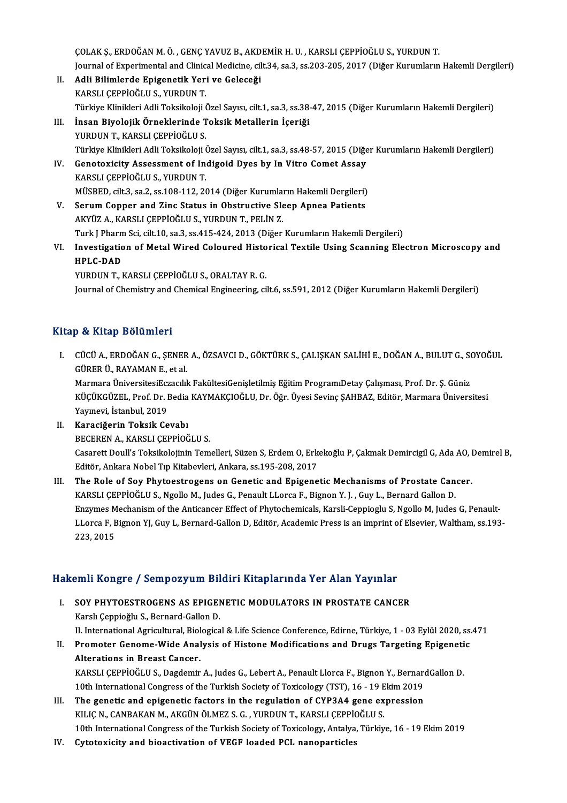ÇOLAKŞ.,ERDOĞANM.Ö. ,GENÇYAVUZB.,AKDEMİRH.U. ,KARSLIÇEPPİOĞLUS.,YURDUNT. ÇOLAK Ş., ERDOĞAN M. Ö. , GENÇ YAVUZ B., AKDEMİR H. U. , KARSLI ÇEPPİOĞLU S., YURDUN T.<br>Journal of Experimental and Clinical Medicine, cilt.34, sa.3, ss.203-205, 2017 (Diğer Kurumların Hakemli Dergileri)<br>Adli Bilimlarda En

- II. Adli Bilimlerde Epigenetik Yeri ve Geleceği<br>KARSLI ÇEPPİOĞLU S., YURDUN T. Journal of Experimental and Clinic<br><mark>Adli Bilimlerde Epigenetik Yer</mark><br>KARSLI ÇEPPİOĞLU S., YURDUN T.<br>Türkiye Klinikleri Adli Teksikeleji ( Türkiye Klinikleri Adli Toksikoloji Özel Sayısı, cilt.1, sa.3, ss.38-47, 2015 (Diğer Kurumların Hakemli Dergileri)
- III. İnsan Biyolojik Örneklerinde Toksik Metallerin İçeriği YURDUN T., KARSLI ÇEPPİOĞLU S. Türkiye Klinikleri Adli Toksikoloji Özel Sayısı, cilt.1, sa.3, ss.48-57, 2015 (Diğer Kurumların Hakemli Dergileri) YURDUN T., KARSLI ÇEPPİOĞLU S.<br>Türkiye Klinikleri Adli Toksikoloji Özel Sayısı, cilt.1, sa.3, ss.48-57, 2015 (Diğe<br>IV. Genotoxicity Assessment of Indigoid Dyes by In Vitro Comet Assay<br>KARSLI CERRIOĞLU S. VURDUN T
- Türkiye Klinikleri Adli Toksikoloji (<br>Genotoxicity Assessment of In<br>KARSLI ÇEPPİOĞLU S., YURDUN T.<br>MÜSPED. 9<sup>11-2</sup> 93 2 93 09 108 112 20 Genotoxicity Assessment of Indigoid Dyes by In Vitro Comet Assay<br>KARSLI ÇEPPİOĞLU S., YURDUN T.<br>MÜSBED, cilt.3, sa.2, ss.108-112, 2014 (Diğer Kurumların Hakemli Dergileri)<br>Serum Connor and Zine Status in Obstructive Sleep KARSLI ÇEPPİOĞLU S., YURDUN T.<br>MÜSBED, cilt.3, sa.2, ss.108-112, 2014 (Diğer Kurumların Hakemli Dergileri)<br>V. Serum Copper and Zinc Status in Obstructive Sleep Apnea Patients
- AKYÜZA.,KARSLIÇEPPİOĞLUS.,YURDUNT.,PELİNZ. Serum Copper and Zinc Status in Obstructive Sleep Apnea Patients<br>AKYÜZ A., KARSLI ÇEPPİOĞLU S., YURDUN T., PELİN Z.<br>Turk J Pharm Sci, cilt.10, sa.3, ss.415-424, 2013 (Diğer Kurumların Hakemli Dergileri)<br>Investigation of Me
- AKYÜZ A., KARSLI ÇEPPİOĞLU S., YURDUN T., PELİN Z.<br>Turk J Pharm Sci, cilt.10, sa.3, ss.415-424, 2013 (Diğer Kurumların Hakemli Dergileri)<br>VI. Investigation of Metal Wired Coloured Historical Textile Using Scanning Elec Turk J Phar<mark>n</mark><br>I<mark>nvestigatic</mark><br>HPLC-DAD<br>YURDUN T Investigation of Metal Wired Coloured Histo<br>HPLC-DAD<br>YURDUN T., KARSLI ÇEPPİOĞLU S., ORALTAY R. G.<br>Journal of Chamistry and Chamisal Engineering, gi HPLC-DAD<br>YURDUN T., KARSLI ÇEPPİOĞLU S., ORALTAY R. G.<br>Journal of Chemistry and Chemical Engineering, cilt.6, ss.591, 2012 (Diğer Kurumların Hakemli Dergileri)

## Kitap & Kitap Bölümleri

- Itap & Kitap Bölümleri<br>I. CÜCÜ A., ERDOĞAN G., ŞENER A., ÖZSAVCI D., GÖKTÜRK S., ÇALIŞKAN SALİHİ E., DOĞAN A., BULUT G., SOYOĞUL<br>CÜPER Ü, RAYAMAN E. et al ge de straap Beratmer :<br>CÜCÜ A., ERDOĞAN G., ŞENER<br>GÜRER Ü., RAYAMAN E., et al.<br>Marmara ÜniversitesiEstasılıl CÜCÜ A., ERDOĞAN G., ŞENER A., ÖZSAVCI D., GÖKTÜRK S., ÇALIŞKAN SALİHİ E., DOĞAN A., BULUT G., SO<br>GÜRER Ü., RAYAMAN E., et al.<br>Marmara ÜniversitesiEczacılık FakültesiGenişletilmiş Eğitim ProgramıDetay Çalışması, Prof. Dr. GÜRER Ü., RAYAMAN E., et al.<br>Marmara ÜniversitesiEczacılık FakültesiGenişletilmiş Eğitim ProgramıDetay Çalışması, Prof. Dr. Ş. Güniz<br>KÜÇÜKGÜZEL, Prof. Dr. Bedia KAYMAKÇIOĞLU, Dr. Öğr. Üyesi Sevinç ŞAHBAZ, Editör, Marmara Ü
- Marmara ÜniversitesiEcz<br>KÜÇÜKGÜZEL, Prof. Dr. I<br>Yayınevi, İstanbul, 2019<br>Karasiğerin Teksik Ce KÜÇÜKGÜZEL, Prof. Dr. Bedia<br>Yayınevi, İstanbul, 2019<br>II. Karaciğerin Toksik Cevabı<br>PECEREN A, KARSI LCEPRIQÖ Yayınevi, İstanbul, 2019<br>II. Karaciğerin Toksik Cevabı<br>BECEREN A., KARSLI ÇEPPİOĞLU S.

Karaciğerin Toksik Cevabı<br>BECEREN A., KARSLI ÇEPPİOĞLU S.<br>Casarett Doull's Toksikolojinin Temelleri, Süzen S, Erdem O, Erkekoğlu P, Çakmak Demircigil G, Ada AO, Demirel B,<br>Editör, Ankare Nobel Tıp Kitabevleri, Ankare, 95,1 BECEREN A., KARSLI ÇEPPİOĞLU S.<br>Casarett Doull's Toksikolojinin Temelleri, Süzen S, Erdem O, Erk<br>Editör, Ankara Nobel Tıp Kitabevleri, Ankara, ss.195-208, 2017<br>The Bole of Sou Phyteostrogens en Cenetis and Enigene Casarett Doull's Toksikolojinin Temelleri, Süzen S, Erdem O, Erkekoğlu P, Çakmak Demircigil G, Ada AO, I<br>Editör, Ankara Nobel Tıp Kitabevleri, Ankara, ss.195-208, 2017<br>III. The Role of Soy Phytoestrogens on Genetic and Epi

Editör, Ankara Nobel Tıp Kitabevleri, Ankara, ss.195-208, 2017<br>The Role of Soy Phytoestrogens on Genetic and Epigenetic Mechanisms of Prostate Cancer.<br>KARSLI ÇEPPİOĞLU S., Ngollo M., Judes G., Penault LLorca F., Bignon Y. Enzymes Mechanism of the Anticancer Effect of Phytochemicals, Karsli-Ceppioglu S, Ngollo M, Judes G, Penault-KARSLI ÇEPPİOĞLU S., Ngollo M., Judes G., Penault LLorca F., Bignon Y. J. , Guy L., Bernard Gallon D.<br>Enzymes Mechanism of the Anticancer Effect of Phytochemicals, Karsli-Ceppioglu S, Ngollo M, Judes G, Penault-<br>LLorca F, Enzymes M<br>LLorca F, E<br>223, 2015

# 223,2015<br>Hakemli Kongre / Sempozyum Bildiri Kitaplarında Yer Alan Yayınlar

- akemli Kongre / Sempozyum Bildiri Kitaplarında Yer Alan Yayınlar<br>I. SOY PHYTOESTROGENS AS EPIGENETIC MODULATORS IN PROSTATE CANCER<br>Karel Cappieğlu S. Bernard Cellan D I. SOY PHYTOESTROGENS AS EPIGENETIC MODULATORS IN PROSTATE CANCER<br>Karslı Çeppioğlu S., Bernard-Gallon D. SOY PHYTOESTROGENS AS EPIGENETIC MODULATORS IN PROSTATE CANCER<br>Karslı Çeppioğlu S., Bernard-Gallon D.<br>II. International Agricultural, Biological & Life Science Conference, Edirne, Türkiye, 1 - 03 Eylül 2020, ss.471<br>Promoto Karslı Çeppioğlu S., Bernard-Gallon D.<br>II. International Agricultural, Biological & Life Science Conference, Edirne, Türkiye, 1 - 03 Eylül 2020, ss.<br>II. Promoter Genome-Wide Analysis of Histone Modifications and Drugs Targ
- II. International Agricultural, Biol<br>Promoter Genome-Wide Anal<br>Alterations in Breast Cancer.<br>KARSLI CEPPIOČLUS, Dogdomir Promoter Genome-Wide Analysis of Histone Modifications and Drugs Targeting Epigeneti<br>Alterations in Breast Cancer.<br>KARSLI ÇEPPİOĞLU S., Dagdemir A., Judes G., Lebert A., Penault Llorca F., Bignon Y., BernardGallon D.<br>10th Alterations in Breast Cancer.<br>KARSLI ÇEPPİOĞLU S., Dagdemir A., Judes G., Lebert A., Penault Llorca F., Bignon Y., Bernare<br>10th International Congress of the Turkish Society of Toxicology (TST), 16 - 19 Ekim 2019<br>The genet

- KARSLI ÇEPPİOĞLU S., Dagdemir A., Judes G., Lebert A., Penault Llorca F., Bignon Y., Bernard<br>10th International Congress of the Turkish Society of Toxicology (TST), 16 19 Ekim 2019<br>III. The genetic and epigenetic factors 10th International Congress of the Turkish Society of Toxicology (TST), 16 - 19 Ekim 2019<br>The genetic and epigenetic factors in the regulation of CYP3A4 gene expression<br>KILIÇ N., CANBAKAN M., AKGÜN ÖLMEZ S. G. , YURDUN T., 10th International Congress of the Turkish Society of Toxicology, Antalya, Türkiye, 16 - 19 Ekim 2019
- IV. Cytotoxicity and bioactivation of VEGF loaded PCL nanoparticles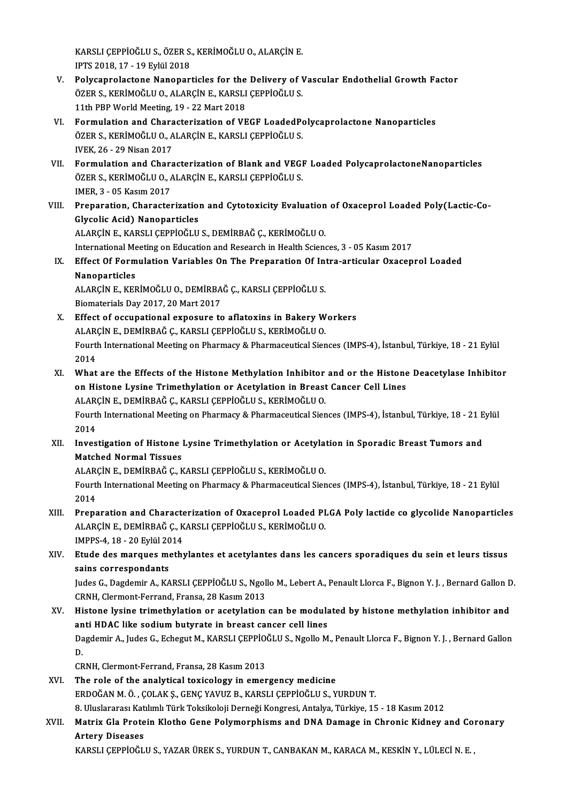KARSLI ÇEPPİOĞLU S., ÖZER S., KERİMOĞLU O., ALARÇİN E.<br>IPTS 2018-17 - 19 Erkil 2019 KARSLI ÇEPPİOĞLU S., ÖZER S.<br>IPTS 2018, 17 - 19 Eylül 2018<br>Polysanrolastana Nanonari

- KARSLI ÇEPPİOĞLU S., ÖZER S., KERİMOĞLU O., ALARÇİN E.<br>IPTS 2018, 17 19 Eylül 2018<br>V. Polycaprolactone Nanoparticles for the Delivery of Vascular Endothelial Growth Factor<br>ÖZER S. KERİMOĞLU O. ALARÇİN E. KARSLI CERRİ IPTS 2018, 17 - 19 Eylül 2018<br>Polycaprolactone Nanoparticles for the Delivery of V<br>ÖZER S., KERİMOĞLU O., ALARÇİN E., KARSLI ÇEPPİOĞLU S.<br>11th PPP World Meeting 19 - 22 Mert 2018 Polycaprolactone Nanoparticles for the<br>ÖZER S., KERİMOĞLU O., ALARÇİN E., KARSLI<br>11th PBP World Meeting, 19 - 22 Mart 2018<br>Formulation and Charactorization of VE ÖZER S., KERİMOĞLU O., ALARÇİN E., KARSLI ÇEPPİOĞLU S.<br>11th PBP World Meeting, 19 - 22 Mart 2018<br>VI. Formulation and Characterization of VEGF LoadedPolycaprolactone Nanoparticles
- 11th PBP World Meeting, 19 22 Mart 2018<br>Formulation and Characterization of VEGF LoadedPo<br>ÖZER S., KERİMOĞLU O., ALARÇİN E., KARSLI ÇEPPİOĞLU S.<br>WEK 26 29 Nisan 2017 Formulation and Chara<br>ÖZER S., KERİMOĞLU O., A<br>IVEK, 26 - 29 Nisan 2017<br>Formulation and Chara ÖZER S., KERİMOĞLU 0., ALARÇİN E., KARSLI ÇEPPİOĞLU S.<br>IVEK, 26 - 29 Nisan 2017<br>VII. Formulation and Characterization of Blank and VEGF Loaded PolycaprolactoneNanoparticles<br>ÖZER S. KERİMOĞLU O. ALARÇİN E. KARSLI CERRIQ
- IVEK, 26 29 Nisan 2017<br>Formulation and Characterization of Blank and VEGI<br>ÖZER S., KERİMOĞLU O., ALARÇİN E., KARSLI ÇEPPİOĞLU S.<br>IMER 2., QE Kasım 2017 Formulation and Chara<br>ÖZER S., KERİMOĞLU O., *I*<br>IMER, 3 - 05 Kasım 2017<br>Proporation, Charaston ÖZER S., KERİMOĞLU O., ALARÇİN E., KARSLI ÇEPPİOĞLU S.<br>1998: IMER, 3 - 05 Kasım 2017<br>VIII. Preparation, Characterization and Cytotoxicity Evaluation of Oxaceprol Loaded Poly(Lactic-Co-<br>Chreelis Asid) Napoportisles
- IMER, 3 05 Kasım 2017<br>Preparation, Characterization<br>Glycolic Acid) Nanoparticles<br>ALAPCIN E. KAPSLI CEPPIOČLII Glycolic Acid) Nanoparticles<br>ALARÇİN E., KARSLI ÇEPPİOĞLU S., DEMİRBAĞ Ç., KERİMOĞLU O. Glycolic Acid) Nanoparticles<br>ALARÇİN E., KARSLI ÇEPPİOĞLU S., DEMİRBAĞ Ç., KERİMOĞLU O.<br>International Meeting on Education and Research in Health Sciences, 3 - 05 Kasım 2017<br>Effect Of Formulation Variables On The Preparati

## IX. Effect Of Formulation Variables On The Preparation Of Intra-articular Oxaceprol Loaded International Me<br>Effect Of Form<br>Nanoparticles<br>ALARC<sup>iN E</sup> VEL Effect Of Formulation Variables On The Preparation Of Int<br>Nanoparticles<br>ALARÇİN E., KERİMOĞLU O., DEMİRBAĞ Ç., KARSLI ÇEPPİOĞLU S.<br>Piamatariala Dav 2017–20 Mart 2017

Nanoparticles<br>ALARÇİN E., KERİMOĞLU O., DEMİRBA<br>Biomaterials Day 2017, 20 Mart 2017<br>Effect of occunational exposure to ALARÇİN E., KERİMOĞLU O., DEMİRBAĞ Ç., KARSLI ÇEPPİOĞLU S.<br>Biomaterials Day 2017, 20 Mart 2017<br>X. Effect of occupational exposure to aflatoxins in Bakery Workers<br>ALARÇİN E. DEMİRBAĞ C. KARSLI CERRIQĞLU S. KERİMOĞLU O.

- Biomaterials Day 2017, 20 Mart 2017<br>Effect of occupational exposure to aflatoxins in Bakery W<br>ALARÇİN E., DEMİRBAĞ Ç., KARSLI ÇEPPİOĞLU S., KERİMOĞLU O.<br>Fourth International Meeting on Bharmagy & Bharmagquigel Sien Fourth International Meeting on Pharmacy & Pharmaceutical Siences (IMPS-4), İstanbul, Türkiye, 18 - 21 Eylül<br>2014 ALARÇÎN E., DEMÎRBAĞ Ç., KARSLI ÇEPPİOĞLU S., KERİMOĞLU O. Fourth International Meeting on Pharmacy & Pharmaceutical Siences (IMPS-4), İstanbul, Türkiye, 18 - 21 Eylül<br>2014<br>XI. What are the Effects of the Histone Methylation Inhibitor and or the Histone Deacetylase Inhibitor<br>20 Hi
- 2014<br>What are the Effects of the Histone Methylation Inhibitor and or the Histone<br>On Histone Lysine Trimethylation or Acetylation in Breast Cancer Cell Lines<br>ALAPCINE, DEMIPRAČ C. KARSLI CERRIQČLUS, KERIMOČLUO What are the Effects of the Histone Methylation Inhibitor<br>on Histone Lysine Trimethylation or Acetylation in Breast<br>ALARÇİN E., DEMİRBAĞ Ç., KARSLI ÇEPPİOĞLU S., KERİMOĞLU O.<br>Fourth International Meeting on Pharmagy & Phar on Histone Lysine Trimethylation or Acetylation in Breast Cancer Cell Lines<br>ALARÇİN E., DEMİRBAĞ Ç., KARSLI ÇEPPİOĞLU S., KERİMOĞLU O.<br>Fourth International Meeting on Pharmacy & Pharmaceutical Siences (IMPS-4), İstanbul, T ALARÇÎN E., DEMÎRBAĞ Ç., KARSLI ÇEPPİOĞLU S., KERİMOĞLU O. Fourth International Meeting on Pharmacy & Pharmaceutical Siences (IMPS-4), İstanbul, Türkiye, 18 - 21 E<br>2014<br>XII. Investigation of Histone Lysine Trimethylation or Acetylation in Sporadic Breast Tumors and<br>Matabad Narmal
- 2014<br>Investigation of Histone<br>Matched Normal Tissues<br>ALAPCINE DEMIPPAČC K Investigation of Histone Lysine Trimethylation or Acetyla<sup>.</sup><br>Matched Normal Tissues<br>ALARÇİN E., DEMİRBAĞ Ç., KARSLI ÇEPPİOĞLU S., KERİMOĞLU O.<br>Fourth International Meeting on Pharmagy & Pharmagquirel Sion

Matched Normal Tissues<br>ALARÇİN E., DEMİRBAĞ Ç., KARSLI ÇEPPİOĞLU S., KERİMOĞLU O.<br>Fourth International Meeting on Pharmacy & Pharmaceutical Siences (IMPS-4), İstanbul, Türkiye, 18 - 21 Eylül<br>2014 ALAR<br>Fourt<br>2014<br>Preps

- XI I. Preparation and Characterization of Oxaceprol Loaded PLGA Poly lactide co glycolide Nanoparticles 2014<br>Preparation and Characterization of Oxaceprol Loaded PI<br>ALARÇİN E., DEMİRBAĞ Ç., KARSLI ÇEPPİOĞLU S., KERİMOĞLU O.<br>IMPRS 4.18., 20 Erlül 2014 Preparation and Characte<br>ALARÇİN E., DEMİRBAĞ Ç., K<br>IMPPS-4, 18 - 20 Eylül 2014<br>Etuda das marayas mathı
- IMPPS-4, 18 20 Eylül 2014<br>XIV. Etude des marques methylantes et acetylantes dans les cancers sporadiques du sein et leurs tissus sains correspondants Etude des marques methylantes et acetylantes dans les cancers sporadiques du sein et leurs tissus<br>sains correspondants<br>Judes G., Dagdemir A., KARSLI ÇEPPİOĞLU S., Ngollo M., Lebert A., Penault Llorca F., Bignon Y. J. , Ber

sains correspondants<br>Judes G., Dagdemir A., KARSLI ÇEPPİOĞLU S., Ngoll<br>CRNH, Clermont-Ferrand, Fransa, 28 Kasım 2013<br>Histone lysine trimethylation en asetylation Judes G., Dagdemir A., KARSLI ÇEPPİOĞLU S., Ngollo M., Lebert A., Penault Llorca F., Bignon Y. J. , Bernard Gallon D<br>CRNH, Clermont-Ferrand, Fransa, 28 Kasım 2013<br>XV. Histone lysine trimethylation or acetylation can be mod

CRNH, Clermont-Ferrand, Fransa, 28 Kasım 2013<br>Histone lysine trimethylation or acetylation can be modula<br>anti HDAC like sodium butyrate in breast cancer cell lines<br>Dagdamir A, Judes G, Esbagut M, KARSLI CEPPIOČLUS, Ngolla Histone lysine trimethylation or acetylation can be modulated by histone methylation inhibitor and<br>anti HDAC like sodium butyrate in breast cancer cell lines<br>Dagdemir A., Judes G., Echegut M., KARSLI ÇEPPİOĞLU S., Ngollo M an<br>Da<br>C<sup>n</sup> Dagdemir A., Judes G., Echegut M., KARSLI ÇEPPİOĞLU S., Ngollo M., Penault Llorca F., Bignon Y. J. , Bernard Gallon<br>D.<br>CRNH. Clermont-Ferrand. Fransa. 28 Kasım 2013

XVI. The role of the analytical toxicology in emergency medicine ERDOĞANM.Ö. ,ÇOLAKŞ.,GENÇYAVUZB.,KARSLIÇEPPİOĞLUS.,YURDUNT. The role of the analytical toxicology in emergency medicine<br>ERDOĞAN M. Ö. , ÇOLAK Ş., GENÇ YAVUZ B., KARSLI ÇEPPİOĞLU S., YURDUN T.<br>8. Uluslararası Katılımlı Türk Toksikoloji Derneği Kongresi, Antalya, Türkiye, 15 - 18 Kas

## XVII. Matrix Gla Protein Klotho Gene Polymorphisms and DNA Damage in Chronic Kidney and Coronary<br>Artery Diseases 8. Uluslararası Kat<br><mark>Matrix Gla Prote</mark><br>Artery Diseases<br>KARSLI CEPPIOČL

KARSLIÇEPPİOĞLUS.,YAZARÜREKS.,YURDUNT.,CANBAKANM.,KARACAM.,KESKİNY.,LÜLECİN.E. ,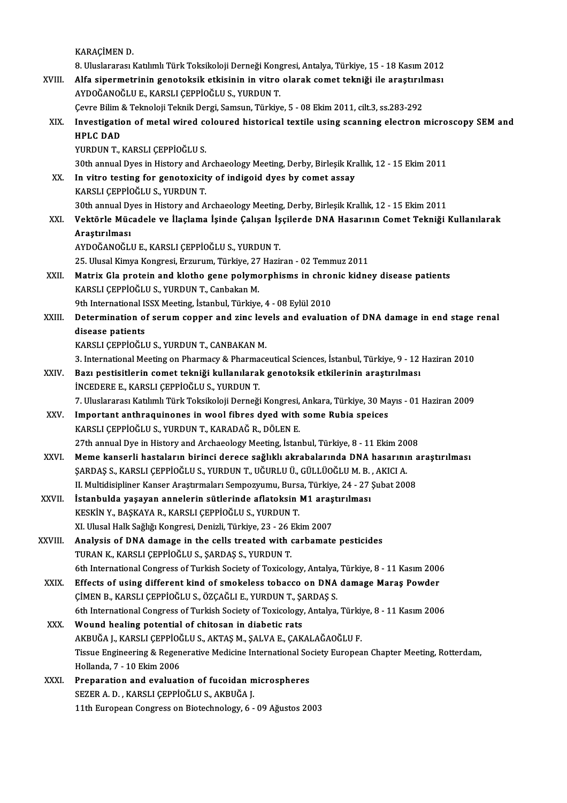KARAÇİMEN D.

8.<br>8. Uluslararası Katılımlı Türk Toksikoloji Derneği Kongresi, Antalya, Türkiye, 15 - 18 Kasım 2012<br>Alfa sinermetrinin seneteksik etkisinin in uitre elerek semet tekniği ile erestirulmesi KARAÇİMEN D.<br>8. Uluslararası Katılımlı Türk Toksikoloji Derneği Kongresi, Antalya, Türkiye, 15 - 18 Kasım 2012<br>8. XVIII. Alfa sipermetrinin genotoksik etkisinin in vitro olarak comet tekniği ile araştırılması<br>8. AVDOĞANOĞL 8. Uluslararası Katılımlı Türk Toksikoloji Derneği Kong<br>Alfa sipermetrinin genotoksik etkisinin in vitro<br>AYDOĞANOĞLU E., KARSLI ÇEPPİOĞLU S., YURDUN T.<br>Ceure Bilim & Telmeleji Telmik Dergi, Semeun, Türkiyi Alfa sipermetrinin genotoksik etkisinin in vitro olarak comet tekniği ile araştırılı<br>AYDOĞANOĞLU E., KARSLI ÇEPPİOĞLU S., YURDUN T.<br>Çevre Bilim & Teknoloji Teknik Dergi, Samsun, Türkiye, 5 - 08 Ekim 2011, cilt.3, ss.283-29 AYDOĞANOĞLU E., KARSLI ÇEPPİOĞLU S., YURDUN T.<br>Çevre Bilim & Teknoloji Teknik Dergi, Samsun, Türkiye, 5 - 08 Ekim 2011, cilt.3, ss.283-292<br>XIX. Investigation of metal wired coloured historical textile using scanning el Çevre Bilim & Teknoloji Teknik Dergi, Samsun, Türkiye, 5 - 08 Ekim 2011, cilt.3, ss.283-292 YURDUN T., KARSLI ÇEPPİOĞLU S. HPLC DAD<br>YURDUN T., KARSLI ÇEPPİOĞLU S.<br>30th annual Dyes in History and Archaeology Meeting, Derby, Birleşik Krallık, 12 - 15 Ekim 2011<br>In vitre testing for genetevisity of indigeid dyes by semet assay. XX. In vitro testing for genotoxicity of indigoid dyes by comet assay<br>KARSLI CEPPIOGLU S., YURDUN T. 30th annual Dyes in History and A<br>In vitro testing for genotoxicit<br>KARSLI ÇEPPİOĞLU S., YURDUN T.<br>20th annual Dyes in History and A 30th annual Dyes in History and Archaeology Meeting, Derby, Birleşik Krallık, 12 - 15 Ekim 2011 KARSLI ÇEPPİOĞLU S., YURDUN T.<br>30th annual Dyes in History and Archaeology Meeting, Derby, Birleşik Krallık, 12 - 15 Ekim 2011<br>XXI. Vektörle Mücadele ve İlaçlama İşinde Çalışan İşçilerde DNA Hasarının Comet Tekniği Kul 30th annual Dy<br><mark>Vektörle Müc</mark><br>Araştırılması<br>AVDOČANOČU Vektörle Mücadele ve İlaçlama İşinde Çalışan İş<br>Araştırılması<br>AYDOĞANOĞLU E., KARSLI ÇEPPİOĞLU S., YURDUN T.<br>25 Ulucal Kimua Kongresi Ersurum Türkiye 27 Harit Araştırılması<br>AYDOĞANOĞLU E., KARSLI ÇEPPİOĞLU S., YURDUN T.<br>25. Ulusal Kimya Kongresi, Erzurum, Türkiye, 27 Haziran - 02 Temmuz 2011<br>Matriy Cla protein and klatba sana polymarphisme in abranis kidna AYDOĞANOĞLU E., KARSLI ÇEPPİOĞLU S., YURDUN T.<br>25. Ulusal Kimya Kongresi, Erzurum, Türkiye, 27 Haziran - 02 Temmuz 2011<br>XXII. Matrix Gla protein and klotho gene polymorphisms in chronic kidney disease patients<br>KARSLI C 25. Ulusal Kimya Kongresi, Erzurum, Türkiye, 27<br>Matrix Gla protein and klotho gene polymo<br>KARSLI ÇEPPİOĞLU S., YURDUN T., Canbakan M.<br>9th International ISSX Meeting, İstanbul Türkiye Matrix Gla protein and klotho gene polymorphisms in chrom<br>KARSLI ÇEPPİOĞLU S., YURDUN T., Canbakan M.<br>9th International ISSX Meeting, İstanbul, Türkiye, 4 - 08 Eylül 2010<br>Determination of segum sonner and gine levels and s KARSLI ÇEPPİOĞLU S., YURDUN T., Canbakan M.<br>9th International ISSX Meeting, İstanbul, Türkiye, 4 - 08 Eylül 2010<br>XXIII. Determination of serum copper and zinc levels and evaluation of DNA damage in end stage renal<br>dise 9th International I<mark>:</mark><br>Determination o<br>disease patients<br>KARSI I CEPPIOČI I Determination of serum copper and zinc lev<br>disease patients<br>KARSLI ÇEPPİOĞLU S., YURDUN T., CANBAKAN M.<br><sup>2</sup>. International Meeting on Pharmagy & Pharmage disease patients<br>KARSLI ÇEPPİOĞLU S., YURDUN T., CANBAKAN M.<br>3. International Meeting on Pharmacy & Pharmaceutical Sciences, İstanbul, Türkiye, 9 - 12 Haziran 2010 KARSLI ÇEPPİOĞLU S., YURDUN T., CANBAKAN M.<br>3. International Meeting on Pharmacy & Pharmaceutical Sciences, İstanbul, Türkiye, 9 - 12<br>XXIV. Bazı pestisitlerin comet tekniği kullanılarak genotoksik etkilerinin araştırıl 3. International Meeting on Pharmacy & Pharma<br>Bazı pestisitlerin comet tekniği kullanılaral<br>İNCEDERE E., KARSLI ÇEPPİOĞLU S., YURDUN T.<br>7. Uluslararası Katılımlı Türk Teksikoloji Derneği Bazı pestisitlerin comet tekniği kullanılarak genotoksik etkilerinin araştırılması<br>İNCEDERE E., KARSLI ÇEPPİOĞLU S., YURDUN T.<br>7. Uluslararası Katılımlı Türk Toksikoloji Derneği Kongresi, Ankara, Türkiye, 30 Mayıs - 01 Haz INCEDERE E., KARSLI ÇEPPİOĞLU S., YURDUN T.<br>7. Uluslararası Katılımlı Türk Toksikoloji Derneği Kongresi, Ankara, Türkiye, 30 Ma<br>XXV. Important anthraquinones in wool fibres dyed with some Rubia speices<br>KARSLI CERRIQĞLU Important anthraquinones in wool fibres dyed with some Rubia speices KARSLI ÇEPPİOĞLU S., YURDUN T., KARADAĞ R., DÖLEN E. Important anthraquinones in wool fibres dyed with some Rubia speices<br>KARSLI ÇEPPİOĞLU S., YURDUN T., KARADAĞ R., DÖLEN E.<br>27th annual Dye in History and Archaeology Meeting, İstanbul, Türkiye, 8 - 11 Ekim 2008<br>Meme kansanl XXVI. Meme kanserli hastaların birinci derece sağlıklı akrabalarında DNA hasarının araştırılması<br>SARDAS S., KARSLI CEPPİOĞLU S., YURDUN T., UĞURLU Ü., GÜLLÜOĞLU M. B. , AKICI A. 27th annual Dye in History and Archaeology Meeting, İstanbul, Türkiye, 8 - 11 Ekim 20<br>Meme kanserli hastaların birinci derece sağlıklı akrabalarında DNA hasarını:<br>ŞARDAŞ S., KARSLI ÇEPPİOĞLU S., YURDUN T., UĞURLU Ü., GÜLLÜ Meme kanserli hastaların birinci derece sağlıklı akrabalarında DNA hasarının a<br>ŞARDAŞ S., KARSLI ÇEPPİOĞLU S., YURDUN T., UĞURLU Ü., GÜLLÜOĞLU M. B. , AKICI A.<br>II. Multidisipliner Kanser Araştırmaları Sempozyumu, Bursa, Tü SARDAŞ S., KARSLI ÇEPPİOĞLU S., YURDUN T., UĞURLU Ü., GÜLLÜOĞLU M. B.<br>II. Multidisipliner Kanser Araştırmaları Sempozyumu, Bursa, Türkiye, 24 - 27<br>XXVII. İstanbulda yaşayan annelerin sütlerinde aflatoksin M1 araştırılması<br> II. Multidisipliner Kanser Araştırmaları Sempozyumu, Burs<br>İstanbulda yaşayan annelerin sütlerinde aflatoksin<br>KESKİN Y., BAŞKAYA R., KARSLI ÇEPPİOĞLU S., YURDUN T.<br>YL Hlusel Hall: Səğliği Kongnesi Denizli Türkiye, 22, 26 Fk İstanbulda yaşayan annelerin sütlerinde aflatoksin M1 araş<br>KESKİN Y., BAŞKAYA R., KARSLI ÇEPPİOĞLU S., YURDUN T.<br>XI. Ulusal Halk Sağlığı Kongresi, Denizli, Türkiye, 23 - 26 Ekim 2007<br>Analysia of DNA damaga in the salla tre KESKİN Y., BAŞKAYA R., KARSLI ÇEPPİOĞLU S., YURDUN T.<br>XI. Ulusal Halk Sağlığı Kongresi, Denizli, Türkiye, 23 - 26 Ekim 2007<br>XXVIII. Analysis of DNA damage in the cells treated with carbamate pesticides<br>TURAN K., KARSLI XI. Ulusal Halk Sağlığı Kongresi, Denizli, Türkiye, 23 - 26 l<br>Analysis of DNA damage in the cells treated with (TURAN K., KARSLI ÇEPPİOĞLU S., ŞARDAŞ S., YURDUN T.<br>Eth International Congress of Turkish Society of Texicole Analysis of DNA damage in the cells treated with carbamate pesticides<br>TURAN K., KARSLI ÇEPPİOĞLU S., ŞARDAŞ S., YURDUN T.<br>6th International Congress of Turkish Society of Toxicology, Antalya, Türkiye, 8 - 11 Kasım 2006<br>Eff TURAN K., KARSLI ÇEPPİOĞLU S., ŞARDAŞ S., YURDUN T.<br>6th International Congress of Turkish Society of Toxicology, Antalya, Türkiye, 8 - 11 Kasım 200<br>XXIX. Effects of using different kind of smokeless tobacco on DNA damage M 6th International Congress of Turkish Society of Toxicology, Antalya,<br>Effects of using different kind of smokeless tobacco on DNA<br>ÇİMEN B., KARSLI ÇEPPİOĞLU S., ÖZÇAĞLI E., YURDUN T., ŞARDAŞ S.<br>Eth International Congress o Effects of using different kind of smokeless tobacco on DNA damage Maraş Powder<br>ÇİMEN B., KARSLI ÇEPPİOĞLU S., ÖZÇAĞLI E., YURDUN T., ŞARDAŞ S.<br>6th International Congress of Turkish Society of Toxicology, Antalya, Türkiye, CIMEN B., KARSLI CEPPIOGLU S., ÖZCAGLI E., YURDUN T., SA<br>6th International Congress of Turkish Society of Toxicology<br>XXX. Wound healing potential of chitosan in diabetic rats<br>AKRIJČA L KARSLI CEPPIOČLU S. AKTAS M. SALVA E 6th International Congress of Turkish Society of Toxicology, Antalya, Türkiy<br>Wound healing potential of chitosan in diabetic rats<br>AKBUĞA J., KARSLI ÇEPPİOĞLU S., AKTAŞ M., ŞALVA E., ÇAKALAĞAOĞLU F.<br>Tissue Engineering & Pes Wound healing potential of chitosan in diabetic rats<br>AKBUĞA J., KARSLI ÇEPPİOĞLU S., AKTAŞ M., ŞALVA E., ÇAKALAĞAOĞLU F.<br>Tissue Engineering & Regenerative Medicine International Society European Chapter Meeting, Rotterdam, AKBUĞA J., KARSLI ÇEPPİOĞLU S., AKTAŞ M., ŞALVA E., ÇAKALAĞAOĞLU F. XXXI. Preparation and evaluation of fucoidan microspheres SEZERA.D. ,KARSLIÇEPPİOĞLUS.,AKBUĞAJ. 11th European Congress on Biotechnology, 6 - 09 Ağustos 2003